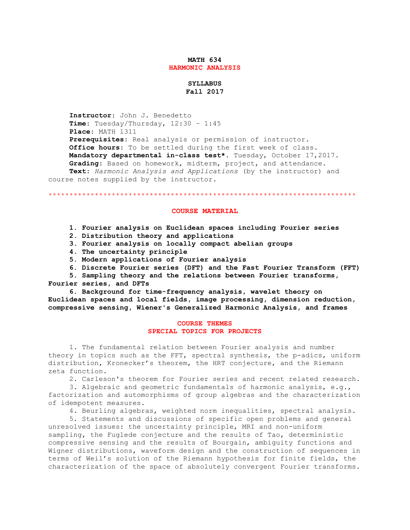### **MATH 634 HARMONIC ANALYSIS**

# **SYLLABUS Fall 2017**

 **Instructor**: John J. Benedetto **Time**: Tuesday/Thursday, 12:30 – 1:45 **Place**: MATH 1311 **Prerequisites**: Real analysis or permission of instructor. **Office hours**: To be settled during the first week of class. **Mandatory departmental in-class test\*.** Tuesday, October 17,2017. **Grading**: Based on homework, midterm, project, and attendance. **Text**: *Harmonic Analysis and Applications* (by the instructor) and course notes supplied by the instructor.

\*\*\*\*\*\*\*\*\*\*\*\*\*\*\*\*\*\*\*\*\*\*\*\*\*\*\*\*\*\*\*\*\*\*\*\*\*\*\*\*\*\*\*\*\*\*\*\*\*\*\*\*\*\*\*\*\*\*\*\*\*\*\*\*\*\*\*\*\*\*\*\*\*

### **COURSE MATERIAL**

- **1. Fourier analysis on Euclidean spaces including Fourier series**
- **2. Distribution theory and applications**
- **3. Fourier analysis on locally compact abelian groups**
- **4. The uncertainty principle**
- **5. Modern applications of Fourier analysis**
- **6. Discrete Fourier series (DFT) and the Fast Fourier Transform (FFT)**
- **5. Sampling theory and the relations between Fourier transforms, Fourier series, and DFTs**

 **6. Background for time-frequency analysis, wavelet theory on Euclidean spaces and local fields, image processing, dimension reduction, compressive sensing, Wiener's Generalized Harmonic Analysis, and frames**

## **COURSE THEMES SPECIAL TOPICS FOR PROJECTS**

 1. The fundamental relation between Fourier analysis and number theory in topics such as the FFT, spectral synthesis, the p-adics, uniform distribution, Kronecker's theorem, the HRT conjecture, and the Riemann zeta function.

2. Carleson's theorem for Fourier series and recent related research.

 3. Algebraic and geometric fundamentals of harmonic analysis, e.g., factorization and automorphisms of group algebras and the characterization of idempotent measures.

4. Beurling algebras, weighted norm inequalities, spectral analysis.

 5. Statements and discussions of specific open problems and general unresolved issues: the uncertainty principle, MRI and non-uniform sampling, the Fuglede conjecture and the results of Tao, deterministic compressive sensing and the results of Bourgain, ambiguity functions and Wigner distributions, waveform design and the construction of sequences in terms of Weil's solution of the Riemann hypothesis for finite fields, the characterization of the space of absolutely convergent Fourier transforms.